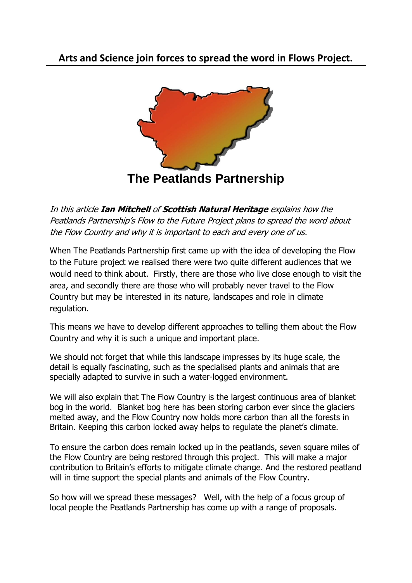## **Arts and Science join forces to spread the word in Flows Project.**



In this article **Ian Mitchell** of **Scottish Natural Heritage** explains how the Peatlands Partnership's Flow to the Future Project plans to spread the word about the Flow Country and why it is important to each and every one of us.

When The Peatlands Partnership first came up with the idea of developing the Flow to the Future project we realised there were two quite different audiences that we would need to think about. Firstly, there are those who live close enough to visit the area, and secondly there are those who will probably never travel to the Flow Country but may be interested in its nature, landscapes and role in climate regulation.

This means we have to develop different approaches to telling them about the Flow Country and why it is such a unique and important place.

We should not forget that while this landscape impresses by its huge scale, the detail is equally fascinating, such as the specialised plants and animals that are specially adapted to survive in such a water-logged environment.

We will also explain that The Flow Country is the largest continuous area of blanket bog in the world. Blanket bog here has been storing carbon ever since the glaciers melted away, and the Flow Country now holds more carbon than all the forests in Britain. Keeping this carbon locked away helps to regulate the planet's climate.

To ensure the carbon does remain locked up in the peatlands, seven square miles of the Flow Country are being restored through this project. This will make a major contribution to Britain's efforts to mitigate climate change. And the restored peatland will in time support the special plants and animals of the Flow Country.

So how will we spread these messages? Well, with the help of a focus group of local people the Peatlands Partnership has come up with a range of proposals.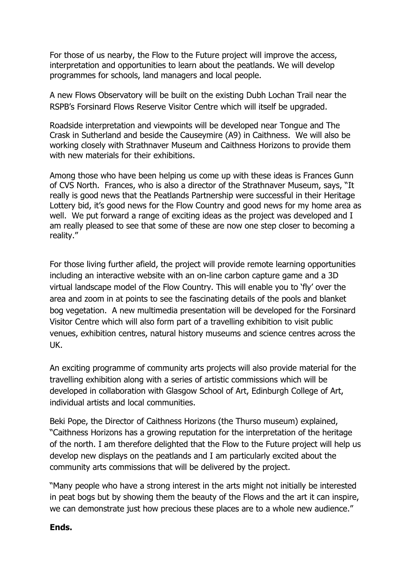For those of us nearby, the Flow to the Future project will improve the access, interpretation and opportunities to learn about the peatlands. We will develop programmes for schools, land managers and local people.

A new Flows Observatory will be built on the existing Dubh Lochan Trail near the RSPB's Forsinard Flows Reserve Visitor Centre which will itself be upgraded.

Roadside interpretation and viewpoints will be developed near Tongue and The Crask in Sutherland and beside the Causeymire (A9) in Caithness. We will also be working closely with Strathnaver Museum and Caithness Horizons to provide them with new materials for their exhibitions.

Among those who have been helping us come up with these ideas is Frances Gunn of CVS North. Frances, who is also a director of the Strathnaver Museum, says, "It really is good news that the Peatlands Partnership were successful in their Heritage Lottery bid, it's good news for the Flow Country and good news for my home area as well. We put forward a range of exciting ideas as the project was developed and I am really pleased to see that some of these are now one step closer to becoming a reality."

For those living further afield, the project will provide remote learning opportunities including an interactive website with an on-line carbon capture game and a 3D virtual landscape model of the Flow Country. This will enable you to 'fly' over the area and zoom in at points to see the fascinating details of the pools and blanket bog vegetation. A new multimedia presentation will be developed for the Forsinard Visitor Centre which will also form part of a travelling exhibition to visit public venues, exhibition centres, natural history museums and science centres across the UK.

An exciting programme of community arts projects will also provide material for the travelling exhibition along with a series of artistic commissions which will be developed in collaboration with Glasgow School of Art, Edinburgh College of Art, individual artists and local communities.

Beki Pope, the Director of Caithness Horizons (the Thurso museum) explained, "Caithness Horizons has a growing reputation for the interpretation of the heritage of the north. I am therefore delighted that the Flow to the Future project will help us develop new displays on the peatlands and I am particularly excited about the community arts commissions that will be delivered by the project.

"Many people who have a strong interest in the arts might not initially be interested in peat bogs but by showing them the beauty of the Flows and the art it can inspire, we can demonstrate just how precious these places are to a whole new audience."

## **Ends.**